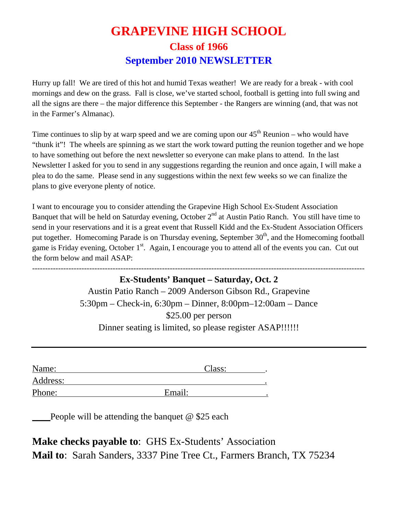## **GRAPEVINE HIGH SCHOOL Class of 1966 September 2010 NEWSLETTER**

Hurry up fall! We are tired of this hot and humid Texas weather! We are ready for a break - with cool mornings and dew on the grass. Fall is close, we've started school, football is getting into full swing and all the signs are there – the major difference this September - the Rangers are winning (and, that was not in the Farmer's Almanac).

Time continues to slip by at warp speed and we are coming upon our  $45<sup>th</sup>$  Reunion – who would have "thunk it"! The wheels are spinning as we start the work toward putting the reunion together and we hope to have something out before the next newsletter so everyone can make plans to attend. In the last Newsletter I asked for you to send in any suggestions regarding the reunion and once again, I will make a plea to do the same. Please send in any suggestions within the next few weeks so we can finalize the plans to give everyone plenty of notice.

I want to encourage you to consider attending the Grapevine High School Ex-Student Association Banquet that will be held on Saturday evening, October  $2<sup>nd</sup>$  at Austin Patio Ranch. You still have time to send in your reservations and it is a great event that Russell Kidd and the Ex-Student Association Officers put together. Homecoming Parade is on Thursday evening, September 30<sup>th</sup>, and the Homecoming football game is Friday evening, October 1<sup>st</sup>. Again, I encourage you to attend all of the events you can. Cut out the form below and mail ASAP:

--------------------------------------------------------------------------------------------------------------------------------

**Ex-Students' Banquet – Saturday, Oct. 2**  Austin Patio Ranch – 2009 Anderson Gibson Rd., Grapevine 5:30pm – Check-in, 6:30pm – Dinner, 8:00pm–12:00am – Dance \$25.00 per person Dinner seating is limited, so please register ASAP!!!!!!

| Name:    | Class: |  |
|----------|--------|--|
| Address: |        |  |
| Phone:   | Email: |  |

People will be attending the banquet  $\omega$  \$25 each

**Make checks payable to**: GHS Ex-Students' Association **Mail to**: Sarah Sanders, 3337 Pine Tree Ct., Farmers Branch, TX 75234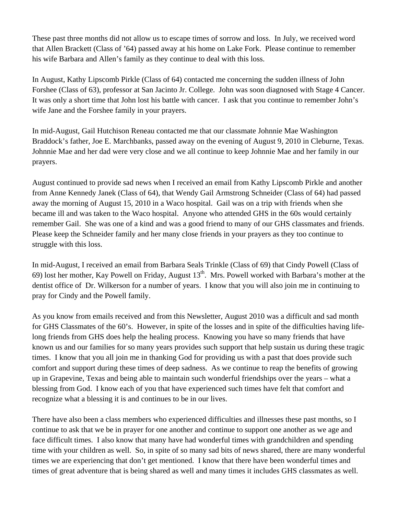These past three months did not allow us to escape times of sorrow and loss. In July, we received word that Allen Brackett (Class of '64) passed away at his home on Lake Fork. Please continue to remember his wife Barbara and Allen's family as they continue to deal with this loss.

In August, Kathy Lipscomb Pirkle (Class of 64) contacted me concerning the sudden illness of John Forshee (Class of 63), professor at San Jacinto Jr. College. John was soon diagnosed with Stage 4 Cancer. It was only a short time that John lost his battle with cancer. I ask that you continue to remember John's wife Jane and the Forshee family in your prayers.

In mid-August, Gail Hutchison Reneau contacted me that our classmate Johnnie Mae Washington Braddock's father, Joe E. Marchbanks, passed away on the evening of August 9, 2010 in Cleburne, Texas. Johnnie Mae and her dad were very close and we all continue to keep Johnnie Mae and her family in our prayers.

August continued to provide sad news when I received an email from Kathy Lipscomb Pirkle and another from Anne Kennedy Janek (Class of 64), that Wendy Gail Armstrong Schneider (Class of 64) had passed away the morning of August 15, 2010 in a Waco hospital. Gail was on a trip with friends when she became ill and was taken to the Waco hospital. Anyone who attended GHS in the 60s would certainly remember Gail. She was one of a kind and was a good friend to many of our GHS classmates and friends. Please keep the Schneider family and her many close friends in your prayers as they too continue to struggle with this loss.

In mid-August, I received an email from Barbara Seals Trinkle (Class of 69) that Cindy Powell (Class of 69) lost her mother, Kay Powell on Friday, August  $13<sup>th</sup>$ . Mrs. Powell worked with Barbara's mother at the dentist office ofDr. Wilkerson for a number of years. I know that you will also join me in continuing to pray for Cindy and the Powell family.

As you know from emails received and from this Newsletter, August 2010 was a difficult and sad month for GHS Classmates of the 60's. However, in spite of the losses and in spite of the difficulties having lifelong friends from GHS does help the healing process. Knowing you have so many friends that have known us and our families for so many years provides such support that help sustain us during these tragic times. I know that you all join me in thanking God for providing us with a past that does provide such comfort and support during these times of deep sadness. As we continue to reap the benefits of growing up in Grapevine, Texas and being able to maintain such wonderful friendships over the years – what a blessing from God. I know each of you that have experienced such times have felt that comfort and recognize what a blessing it is and continues to be in our lives.

There have also been a class members who experienced difficulties and illnesses these past months, so I continue to ask that we be in prayer for one another and continue to support one another as we age and face difficult times. I also know that many have had wonderful times with grandchildren and spending time with your children as well. So, in spite of so many sad bits of news shared, there are many wonderful times we are experiencing that don't get mentioned. I know that there have been wonderful times and times of great adventure that is being shared as well and many times it includes GHS classmates as well.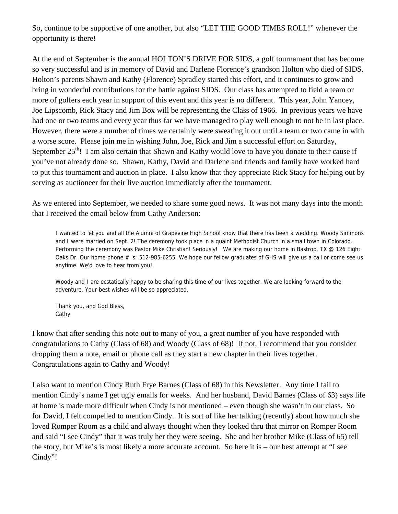So, continue to be supportive of one another, but also "LET THE GOOD TIMES ROLL!" whenever the opportunity is there!

At the end of September is the annual HOLTON'S DRIVE FOR SIDS, a golf tournament that has become so very successful and is in memory of David and Darlene Florence's grandson Holton who died of SIDS. Holton's parents Shawn and Kathy (Florence) Spradley started this effort, and it continues to grow and bring in wonderful contributions for the battle against SIDS. Our class has attempted to field a team or more of golfers each year in support of this event and this year is no different. This year, John Yancey, Joe Lipscomb, Rick Stacy and Jim Box will be representing the Class of 1966. In previous years we have had one or two teams and every year thus far we have managed to play well enough to not be in last place. However, there were a number of times we certainly were sweating it out until a team or two came in with a worse score. Please join me in wishing John, Joe, Rick and Jim a successful effort on Saturday, September 25<sup>th</sup>! I am also certain that Shawn and Kathy would love to have you donate to their cause if you've not already done so. Shawn, Kathy, David and Darlene and friends and family have worked hard to put this tournament and auction in place. I also know that they appreciate Rick Stacy for helping out by serving as auctioneer for their live auction immediately after the tournament.

As we entered into September, we needed to share some good news. It was not many days into the month that I received the email below from Cathy Anderson:

I wanted to let you and all the Alumni of Grapevine High School know that there has been a wedding. Woody Simmons and I were married on Sept. 2! The ceremony took place in a quaint Methodist Church in a small town in Colorado. Performing the ceremony was Pastor Mike Christian! Seriously! We are making our home in Bastrop, TX @ 126 Eight Oaks Dr. Our home phone # is: 512-985-6255. We hope our fellow graduates of GHS will give us a call or come see us anytime. We'd love to hear from you!

Woody and I are ecstatically happy to be sharing this time of our lives together. We are looking forward to the adventure. Your best wishes will be so appreciated.

Thank you, and God Bless, Cathy

I know that after sending this note out to many of you, a great number of you have responded with congratulations to Cathy (Class of 68) and Woody (Class of 68)! If not, I recommend that you consider dropping them a note, email or phone call as they start a new chapter in their lives together. Congratulations again to Cathy and Woody!

I also want to mention Cindy Ruth Frye Barnes (Class of 68) in this Newsletter. Any time I fail to mention Cindy's name I get ugly emails for weeks. And her husband, David Barnes (Class of 63) says life at home is made more difficult when Cindy is not mentioned – even though she wasn't in our class. So for David, I felt compelled to mention Cindy. It is sort of like her talking (recently) about how much she loved Romper Room as a child and always thought when they looked thru that mirror on Romper Room and said "I see Cindy" that it was truly her they were seeing. She and her brother Mike (Class of 65) tell the story, but Mike's is most likely a more accurate account. So here it is – our best attempt at "I see Cindy"!